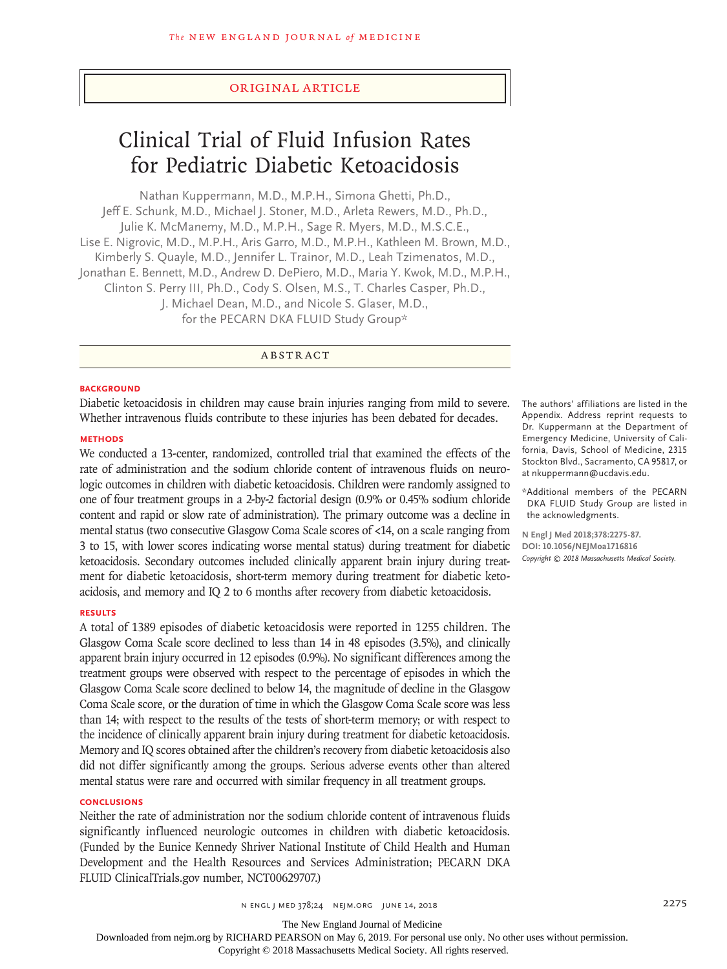#### Original Article

# Clinical Trial of Fluid Infusion Rates for Pediatric Diabetic Ketoacidosis

Nathan Kuppermann, M.D., M.P.H., Simona Ghetti, Ph.D., Jeff E. Schunk, M.D., Michael J. Stoner, M.D., Arleta Rewers, M.D., Ph.D., Julie K. McManemy, M.D., M.P.H., Sage R. Myers, M.D., M.S.C.E., Lise E. Nigrovic, M.D., M.P.H., Aris Garro, M.D., M.P.H., Kathleen M. Brown, M.D., Kimberly S. Quayle, M.D., Jennifer L. Trainor, M.D., Leah Tzimenatos, M.D., Jonathan E. Bennett, M.D., Andrew D. DePiero, M.D., Maria Y. Kwok, M.D., M.P.H., Clinton S. Perry III, Ph.D., Cody S. Olsen, M.S., T. Charles Casper, Ph.D., J. Michael Dean, M.D., and Nicole S. Glaser, M.D., for the PECARN DKA FLUID Study Group\*

ABSTRACT

#### **BACKGROUND**

Diabetic ketoacidosis in children may cause brain injuries ranging from mild to severe. Whether intravenous fluids contribute to these injuries has been debated for decades.

#### **METHODS**

We conducted a 13-center, randomized, controlled trial that examined the effects of the rate of administration and the sodium chloride content of intravenous fluids on neurologic outcomes in children with diabetic ketoacidosis. Children were randomly assigned to one of four treatment groups in a 2-by-2 factorial design (0.9% or 0.45% sodium chloride content and rapid or slow rate of administration). The primary outcome was a decline in mental status (two consecutive Glasgow Coma Scale scores of <14, on a scale ranging from 3 to 15, with lower scores indicating worse mental status) during treatment for diabetic ketoacidosis. Secondary outcomes included clinically apparent brain injury during treatment for diabetic ketoacidosis, short-term memory during treatment for diabetic ketoacidosis, and memory and IQ 2 to 6 months after recovery from diabetic ketoacidosis.

#### **RESULTS**

A total of 1389 episodes of diabetic ketoacidosis were reported in 1255 children. The Glasgow Coma Scale score declined to less than 14 in 48 episodes (3.5%), and clinically apparent brain injury occurred in 12 episodes (0.9%). No significant differences among the treatment groups were observed with respect to the percentage of episodes in which the Glasgow Coma Scale score declined to below 14, the magnitude of decline in the Glasgow Coma Scale score, or the duration of time in which the Glasgow Coma Scale score was less than 14; with respect to the results of the tests of short-term memory; or with respect to the incidence of clinically apparent brain injury during treatment for diabetic ketoacidosis. Memory and IQ scores obtained after the children's recovery from diabetic ketoacidosis also did not differ significantly among the groups. Serious adverse events other than altered mental status were rare and occurred with similar frequency in all treatment groups.

## **CONCLUSIONS**

Neither the rate of administration nor the sodium chloride content of intravenous fluids significantly influenced neurologic outcomes in children with diabetic ketoacidosis. (Funded by the Eunice Kennedy Shriver National Institute of Child Health and Human Development and the Health Resources and Services Administration; PECARN DKA FLUID ClinicalTrials.gov number, NCT00629707.)

The authors' affiliations are listed in the Appendix. Address reprint requests to Dr. Kuppermann at the Department of Emergency Medicine, University of California, Davis, School of Medicine, 2315 Stockton Blvd., Sacramento, CA 95817, or at nkuppermann@ucdavis.edu.

\*Additional members of the PECARN DKA FLUID Study Group are listed in the acknowledgments.

**N Engl J Med 2018;378:2275-87. DOI: 10.1056/NEJMoa1716816** *Copyright © 2018 Massachusetts Medical Society.*

The New England Journal of Medicine

Downloaded from nejm.org by RICHARD PEARSON on May 6, 2019. For personal use only. No other uses without permission.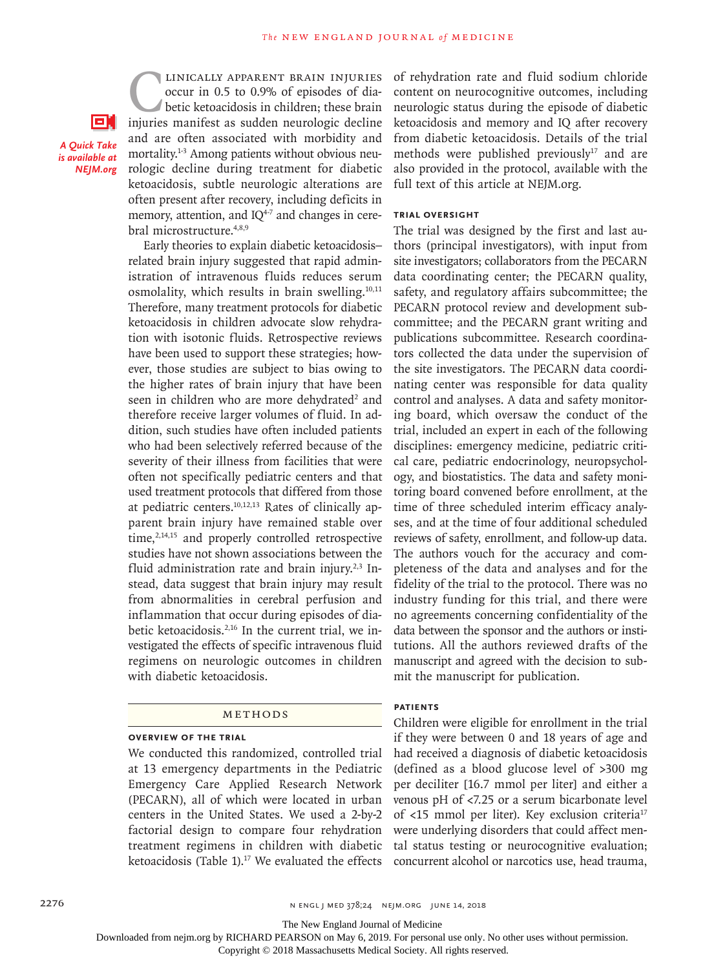**CLINICALLY APPARENT BRAIN INJURIES**<br>
occur in 0.5 to 0.9% of episodes of dia-<br>
betic ketoacidosis in children; these brain<br>
injuries manifest as sudden neurologic decline occur in 0.5 to 0.9% of episodes of diabetic ketoacidosis in children; these brain and are often associated with morbidity and mortality.<sup>1-3</sup> Among patients without obvious neurologic decline during treatment for diabetic ketoacidosis, subtle neurologic alterations are often present after recovery, including deficits in memory, attention, and  $IQ^{4-7}$  and changes in cerebral microstructure.4,8,9

*A Quick Take is available at NEJM.org*

оı

Early theories to explain diabetic ketoacidosis– related brain injury suggested that rapid administration of intravenous fluids reduces serum osmolality, which results in brain swelling. $10,11$ Therefore, many treatment protocols for diabetic ketoacidosis in children advocate slow rehydration with isotonic fluids. Retrospective reviews have been used to support these strategies; however, those studies are subject to bias owing to the higher rates of brain injury that have been seen in children who are more dehydrated<sup>2</sup> and therefore receive larger volumes of fluid. In addition, such studies have often included patients who had been selectively referred because of the severity of their illness from facilities that were often not specifically pediatric centers and that used treatment protocols that differed from those at pediatric centers.10,12,13 Rates of clinically apparent brain injury have remained stable over time, $2,14,15$  and properly controlled retrospective studies have not shown associations between the fluid administration rate and brain injury.<sup>2,3</sup> Instead, data suggest that brain injury may result from abnormalities in cerebral perfusion and inflammation that occur during episodes of diabetic ketoacidosis.<sup>2,16</sup> In the current trial, we investigated the effects of specific intravenous fluid regimens on neurologic outcomes in children with diabetic ketoacidosis.

#### Methods

## **Overview of the Trial**

We conducted this randomized, controlled trial at 13 emergency departments in the Pediatric Emergency Care Applied Research Network (PECARN), all of which were located in urban centers in the United States. We used a 2-by-2 factorial design to compare four rehydration treatment regimens in children with diabetic ketoacidosis (Table 1).<sup>17</sup> We evaluated the effects

of rehydration rate and fluid sodium chloride content on neurocognitive outcomes, including neurologic status during the episode of diabetic ketoacidosis and memory and IQ after recovery from diabetic ketoacidosis. Details of the trial methods were published previously<sup>17</sup> and are also provided in the protocol, available with the full text of this article at NEJM.org.

# **Trial Oversight**

The trial was designed by the first and last authors (principal investigators), with input from site investigators; collaborators from the PECARN data coordinating center; the PECARN quality, safety, and regulatory affairs subcommittee; the PECARN protocol review and development subcommittee; and the PECARN grant writing and publications subcommittee. Research coordinators collected the data under the supervision of the site investigators. The PECARN data coordinating center was responsible for data quality control and analyses. A data and safety monitoring board, which oversaw the conduct of the trial, included an expert in each of the following disciplines: emergency medicine, pediatric critical care, pediatric endocrinology, neuropsychology, and biostatistics. The data and safety monitoring board convened before enrollment, at the time of three scheduled interim efficacy analyses, and at the time of four additional scheduled reviews of safety, enrollment, and follow-up data. The authors vouch for the accuracy and completeness of the data and analyses and for the fidelity of the trial to the protocol. There was no industry funding for this trial, and there were no agreements concerning confidentiality of the data between the sponsor and the authors or institutions. All the authors reviewed drafts of the manuscript and agreed with the decision to submit the manuscript for publication.

# **Patients**

Children were eligible for enrollment in the trial if they were between 0 and 18 years of age and had received a diagnosis of diabetic ketoacidosis (defined as a blood glucose level of >300 mg per deciliter [16.7 mmol per liter] and either a venous pH of <7.25 or a serum bicarbonate level of <15 mmol per liter). Key exclusion criteria17 were underlying disorders that could affect mental status testing or neurocognitive evaluation; concurrent alcohol or narcotics use, head trauma,

2276 **n** engl j med 378;24 nejm.org June 14, 2018

The New England Journal of Medicine

Downloaded from nejm.org by RICHARD PEARSON on May 6, 2019. For personal use only. No other uses without permission.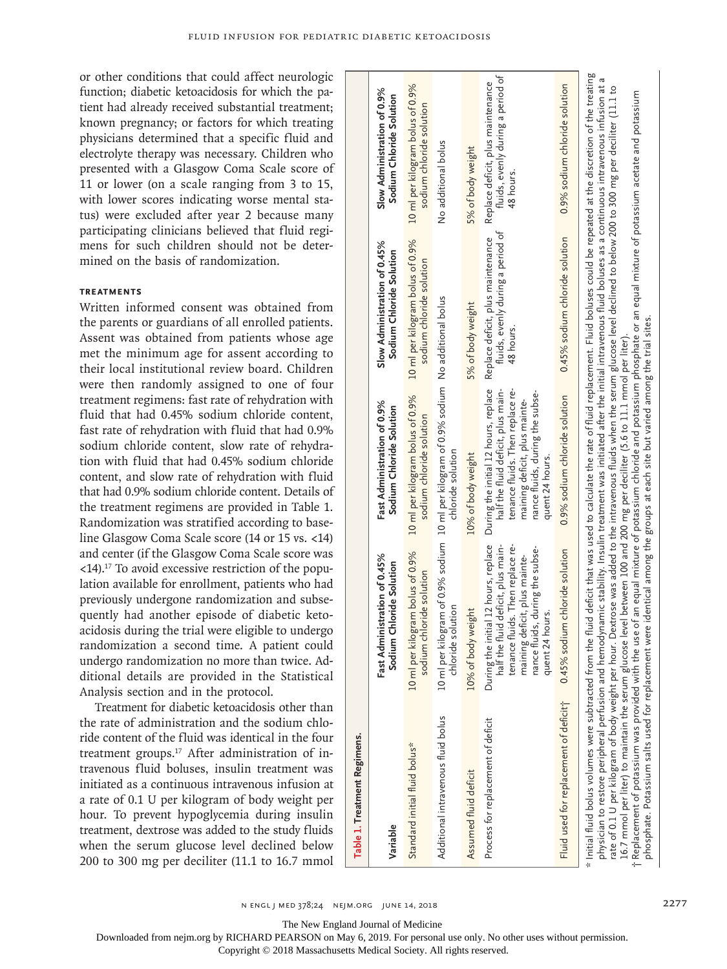or other conditions that could affect neurologic function; diabetic ketoacidosis for which the patient had already received substantial treatment; known pregnancy; or factors for which treating physicians determined that a specific fluid and electrolyte therapy was necessary. Children who presented with a Glasgow Coma Scale score of 11 or lower (on a scale ranging from 3 to 15, with lower scores indicating worse mental status) were excluded after year 2 because many participating clinicians believed that fluid regimens for such children should not be determined on the basis of randomization.

# **Treatments**

Written informed consent was obtained from the parents or guardians of all enrolled patients. Assent was obtained from patients whose age met the minimum age for assent according to their local institutional review board. Children were then randomly assigned to one of four treatment regimens: fast rate of rehydration with fluid that had 0.45% sodium chloride content, fast rate of rehydration with fluid that had 0.9% sodium chloride content, slow rate of rehydration with fluid that had 0.45% sodium chloride content, and slow rate of rehydration with fluid that had 0.9% sodium chloride content. Details of the treatment regimens are provided in Table 1. Randomization was stratified according to baseline Glasgow Coma Scale score (14 or 15 vs. <14) and center (if the Glasgow Coma Scale score was  $\langle 14 \rangle$ .<sup>17</sup> To avoid excessive restriction of the population available for enrollment, patients who had previously undergone randomization and subsequently had another episode of diabetic ketoacidosis during the trial were eligible to undergo randomization a second time. A patient could undergo randomization no more than twice. Additional details are provided in the Statistical Analysis section and in the protocol.

Treatment for diabetic ketoacidosis other than the rate of administration and the sodium chloride content of the fluid was identical in the four treatment groups.17 After administration of intravenous fluid boluses, insulin treatment was initiated as a continuous intravenous infusion at a rate of 0.1 U per kilogram of body weight per hour. To prevent hypoglycemia during insulin treatment, dextrose was added to the study fluids when the serum glucose level declined below 200 to 300 mg per deciliter (11.1 to 16.7 mmol

| Table 1. Treatment Regimens.                                                                                                                                                                                                                                                                                                                                                                                                                                                                                                                                                                                                                                                                                                                                              |                                                                                                                                                                                                          |                                                                                                                                                                                                                                                                  |                                                                                     |                                                                                     |
|---------------------------------------------------------------------------------------------------------------------------------------------------------------------------------------------------------------------------------------------------------------------------------------------------------------------------------------------------------------------------------------------------------------------------------------------------------------------------------------------------------------------------------------------------------------------------------------------------------------------------------------------------------------------------------------------------------------------------------------------------------------------------|----------------------------------------------------------------------------------------------------------------------------------------------------------------------------------------------------------|------------------------------------------------------------------------------------------------------------------------------------------------------------------------------------------------------------------------------------------------------------------|-------------------------------------------------------------------------------------|-------------------------------------------------------------------------------------|
| Variable                                                                                                                                                                                                                                                                                                                                                                                                                                                                                                                                                                                                                                                                                                                                                                  | Fast Administration of 0.45%<br>Sodium Chloride Solution                                                                                                                                                 | Fast Administration of 0.9%<br>Sodium Chloride Solution                                                                                                                                                                                                          | Slow Administration of 0.45%<br>Sodium Chloride Solution                            | Slow Administration of 0.9%<br>Sodium Chloride Solution                             |
| Standard initial fluid bolus*                                                                                                                                                                                                                                                                                                                                                                                                                                                                                                                                                                                                                                                                                                                                             | 10 ml per kilogram bolus of 0.9%<br>sodium chloride solution                                                                                                                                             | 10 ml per kilogram bolus of 0.9%<br>sodium chloride solution                                                                                                                                                                                                     | 10 ml per kilogram bolus of 0.9%<br>sodium chloride solution                        | 10 ml per kilogram bolus of 0.9%<br>sodium chloride solution                        |
| Additional intravenous fluid bolus                                                                                                                                                                                                                                                                                                                                                                                                                                                                                                                                                                                                                                                                                                                                        | solution<br>chloride                                                                                                                                                                                     | 10 ml per kilogram of 0.9% sodium   10 ml per kilogram of 0.9% sodium   No additional bolus<br>chloride solution                                                                                                                                                 |                                                                                     | No additional bolus                                                                 |
| Assumed fluid deficit                                                                                                                                                                                                                                                                                                                                                                                                                                                                                                                                                                                                                                                                                                                                                     | 10% of body weight                                                                                                                                                                                       | 10% of body weight                                                                                                                                                                                                                                               | 5% of body weight                                                                   | 5% of body weight                                                                   |
| Process for replacement of deficit                                                                                                                                                                                                                                                                                                                                                                                                                                                                                                                                                                                                                                                                                                                                        | During the initial 12 hours, replace<br>half the fluid deficit, plus main-<br>fluids. Then replace re-<br>nance fluids, during the subse-<br>maining deficit, plus mainte-<br>quent 24 hours.<br>tenance | During the initial 12 hours, replace<br>half the fluid deficit, plus main-<br>tenance fluids. Then replace re-<br>nance fluids, during the subse-<br>maining deficit, plus mainte-<br>quent 24 hours.                                                            | fluids, evenly during a period of<br>Replace deficit, plus maintenance<br>48 hours. | fluids, evenly during a period of<br>Replace deficit, plus maintenance<br>48 hours. |
| Fluid used for replacement of deficit                                                                                                                                                                                                                                                                                                                                                                                                                                                                                                                                                                                                                                                                                                                                     | 0.45% sodium chloride solution                                                                                                                                                                           | 0.9% sodium chloride solution                                                                                                                                                                                                                                    | 0.45% sodium chloride solution                                                      | 0.9% sodium chloride solution                                                       |
| * Initial fluid bolus volumes were subtracted from the fluid deficit that was used to calculate the rate of fluid replacement. Fluid boluses could be repeated at the discretion of the treating<br>physician to restore peripheral perfusion and hemodynamic stability. Insulin treatment was initiated after the initial intravenous fluid boluses as a continuous intravenous infusion at<br>phosphate. Potassium salts used for replacement were identical among the groups at each site but varied among the trial sites<br>16.7 mmol per liter) to maintain the serum glucose level between 100 and 200 mg per deciliter (5.6 to 11.1 mmol per liter).<br>rate of 0.1 U per kilogram of body weight per hour.<br>t Replacement of potassium was provided with the u |                                                                                                                                                                                                          | Dextrose was added to the intravenous fluids when the serum glucose level declined to below 200 to 300 mg per deciliter (11.1 to<br>use of an equal mixture of potassium chloride and potassium phosphate or an equal mixture of potassium acetate and potassium |                                                                                     | a                                                                                   |

The New England Journal of Medicine

Downloaded from nejm.org by RICHARD PEARSON on May 6, 2019. For personal use only. No other uses without permission.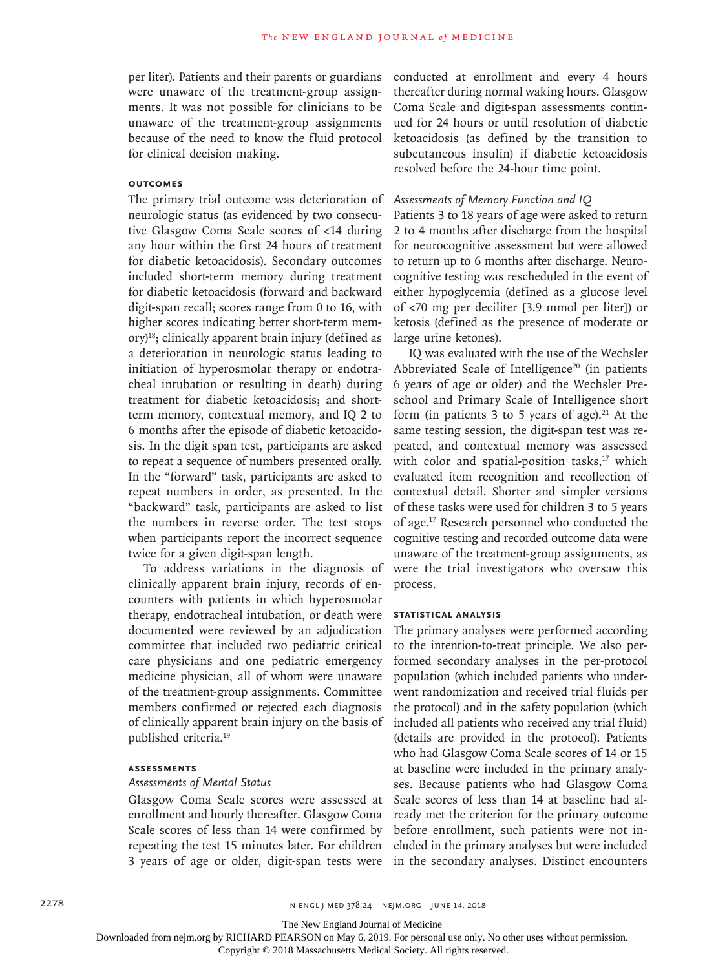per liter). Patients and their parents or guardians were unaware of the treatment-group assignments. It was not possible for clinicians to be unaware of the treatment-group assignments because of the need to know the fluid protocol for clinical decision making.

# **Outcomes**

The primary trial outcome was deterioration of neurologic status (as evidenced by two consecutive Glasgow Coma Scale scores of <14 during any hour within the first 24 hours of treatment for diabetic ketoacidosis). Secondary outcomes included short-term memory during treatment for diabetic ketoacidosis (forward and backward digit-span recall; scores range from 0 to 16, with higher scores indicating better short-term mem- $\text{or}$ y)<sup>18</sup>; clinically apparent brain injury (defined as a deterioration in neurologic status leading to initiation of hyperosmolar therapy or endotracheal intubation or resulting in death) during treatment for diabetic ketoacidosis; and shortterm memory, contextual memory, and IQ 2 to 6 months after the episode of diabetic ketoacidosis. In the digit span test, participants are asked to repeat a sequence of numbers presented orally. In the "forward" task, participants are asked to repeat numbers in order, as presented. In the "backward" task, participants are asked to list the numbers in reverse order. The test stops when participants report the incorrect sequence twice for a given digit-span length.

To address variations in the diagnosis of clinically apparent brain injury, records of encounters with patients in which hyperosmolar therapy, endotracheal intubation, or death were documented were reviewed by an adjudication committee that included two pediatric critical care physicians and one pediatric emergency medicine physician, all of whom were unaware of the treatment-group assignments. Committee members confirmed or rejected each diagnosis of clinically apparent brain injury on the basis of published criteria.19

# **Assessments**

# *Assessments of Mental Status*

Glasgow Coma Scale scores were assessed at enrollment and hourly thereafter. Glasgow Coma Scale scores of less than 14 were confirmed by repeating the test 15 minutes later. For children 3 years of age or older, digit-span tests were conducted at enrollment and every 4 hours thereafter during normal waking hours. Glasgow Coma Scale and digit-span assessments continued for 24 hours or until resolution of diabetic ketoacidosis (as defined by the transition to subcutaneous insulin) if diabetic ketoacidosis resolved before the 24-hour time point.

## *Assessments of Memory Function and IQ*

Patients 3 to 18 years of age were asked to return 2 to 4 months after discharge from the hospital for neurocognitive assessment but were allowed to return up to 6 months after discharge. Neurocognitive testing was rescheduled in the event of either hypoglycemia (defined as a glucose level of <70 mg per deciliter [3.9 mmol per liter]) or ketosis (defined as the presence of moderate or large urine ketones).

IQ was evaluated with the use of the Wechsler Abbreviated Scale of Intelligence<sup>20</sup> (in patients 6 years of age or older) and the Wechsler Preschool and Primary Scale of Intelligence short form (in patients  $3$  to  $5$  years of age).<sup>21</sup> At the same testing session, the digit-span test was repeated, and contextual memory was assessed with color and spatial-position tasks, $17$  which evaluated item recognition and recollection of contextual detail. Shorter and simpler versions of these tasks were used for children 3 to 5 years of age.17 Research personnel who conducted the cognitive testing and recorded outcome data were unaware of the treatment-group assignments, as were the trial investigators who oversaw this process.

## **Statistical Analysis**

The primary analyses were performed according to the intention-to-treat principle. We also performed secondary analyses in the per-protocol population (which included patients who underwent randomization and received trial fluids per the protocol) and in the safety population (which included all patients who received any trial fluid) (details are provided in the protocol). Patients who had Glasgow Coma Scale scores of 14 or 15 at baseline were included in the primary analyses. Because patients who had Glasgow Coma Scale scores of less than 14 at baseline had already met the criterion for the primary outcome before enrollment, such patients were not included in the primary analyses but were included in the secondary analyses. Distinct encounters

The New England Journal of Medicine

Downloaded from nejm.org by RICHARD PEARSON on May 6, 2019. For personal use only. No other uses without permission.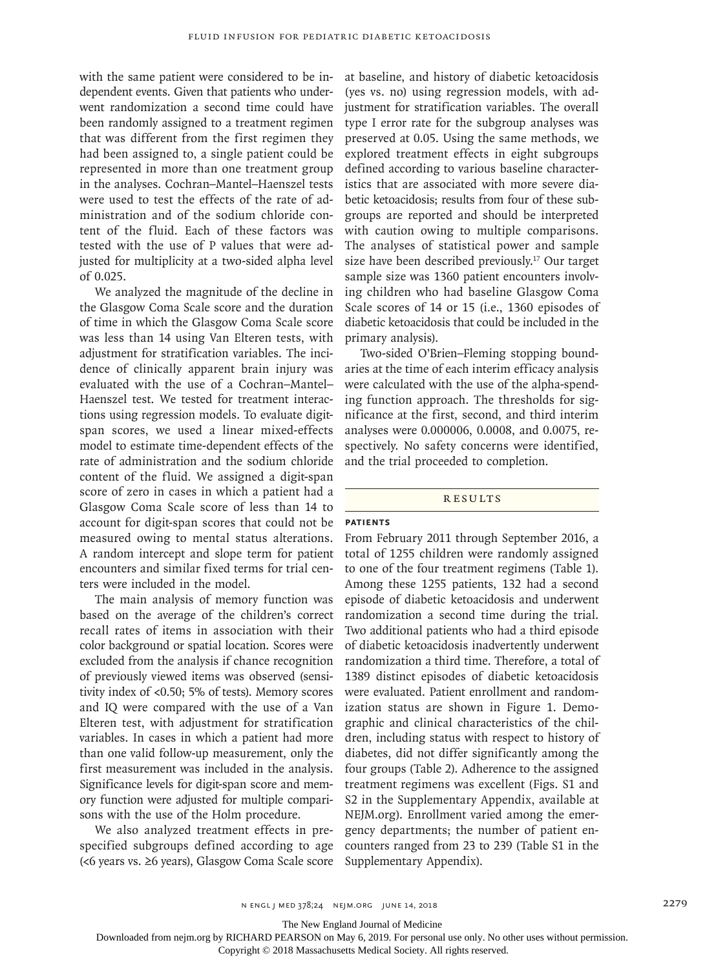with the same patient were considered to be independent events. Given that patients who underwent randomization a second time could have been randomly assigned to a treatment regimen that was different from the first regimen they had been assigned to, a single patient could be represented in more than one treatment group in the analyses. Cochran–Mantel–Haenszel tests were used to test the effects of the rate of administration and of the sodium chloride content of the fluid. Each of these factors was tested with the use of P values that were adjusted for multiplicity at a two-sided alpha level of 0.025.

We analyzed the magnitude of the decline in the Glasgow Coma Scale score and the duration of time in which the Glasgow Coma Scale score was less than 14 using Van Elteren tests, with adjustment for stratification variables. The incidence of clinically apparent brain injury was evaluated with the use of a Cochran–Mantel– Haenszel test. We tested for treatment interactions using regression models. To evaluate digitspan scores, we used a linear mixed-effects model to estimate time-dependent effects of the rate of administration and the sodium chloride content of the fluid. We assigned a digit-span score of zero in cases in which a patient had a Glasgow Coma Scale score of less than 14 to account for digit-span scores that could not be measured owing to mental status alterations. A random intercept and slope term for patient encounters and similar fixed terms for trial centers were included in the model.

The main analysis of memory function was based on the average of the children's correct recall rates of items in association with their color background or spatial location. Scores were excluded from the analysis if chance recognition of previously viewed items was observed (sensitivity index of <0.50; 5% of tests). Memory scores and IQ were compared with the use of a Van Elteren test, with adjustment for stratification variables. In cases in which a patient had more than one valid follow-up measurement, only the first measurement was included in the analysis. Significance levels for digit-span score and memory function were adjusted for multiple comparisons with the use of the Holm procedure.

We also analyzed treatment effects in prespecified subgroups defined according to age (<6 years vs. ≥6 years), Glasgow Coma Scale score

at baseline, and history of diabetic ketoacidosis (yes vs. no) using regression models, with adjustment for stratification variables. The overall type I error rate for the subgroup analyses was preserved at 0.05. Using the same methods, we explored treatment effects in eight subgroups defined according to various baseline characteristics that are associated with more severe diabetic ketoacidosis; results from four of these subgroups are reported and should be interpreted with caution owing to multiple comparisons. The analyses of statistical power and sample size have been described previously.<sup>17</sup> Our target sample size was 1360 patient encounters involving children who had baseline Glasgow Coma Scale scores of 14 or 15 (i.e., 1360 episodes of diabetic ketoacidosis that could be included in the primary analysis).

Two-sided O'Brien–Fleming stopping boundaries at the time of each interim efficacy analysis were calculated with the use of the alpha-spending function approach. The thresholds for significance at the first, second, and third interim analyses were 0.000006, 0.0008, and 0.0075, respectively. No safety concerns were identified, and the trial proceeded to completion.

#### **RESULTS**

# **Patients**

From February 2011 through September 2016, a total of 1255 children were randomly assigned to one of the four treatment regimens (Table 1). Among these 1255 patients, 132 had a second episode of diabetic ketoacidosis and underwent randomization a second time during the trial. Two additional patients who had a third episode of diabetic ketoacidosis inadvertently underwent randomization a third time. Therefore, a total of 1389 distinct episodes of diabetic ketoacidosis were evaluated. Patient enrollment and randomization status are shown in Figure 1. Demographic and clinical characteristics of the children, including status with respect to history of diabetes, did not differ significantly among the four groups (Table 2). Adherence to the assigned treatment regimens was excellent (Figs. S1 and S2 in the Supplementary Appendix, available at NEJM.org). Enrollment varied among the emergency departments; the number of patient encounters ranged from 23 to 239 (Table S1 in the Supplementary Appendix).

The New England Journal of Medicine

Downloaded from nejm.org by RICHARD PEARSON on May 6, 2019. For personal use only. No other uses without permission.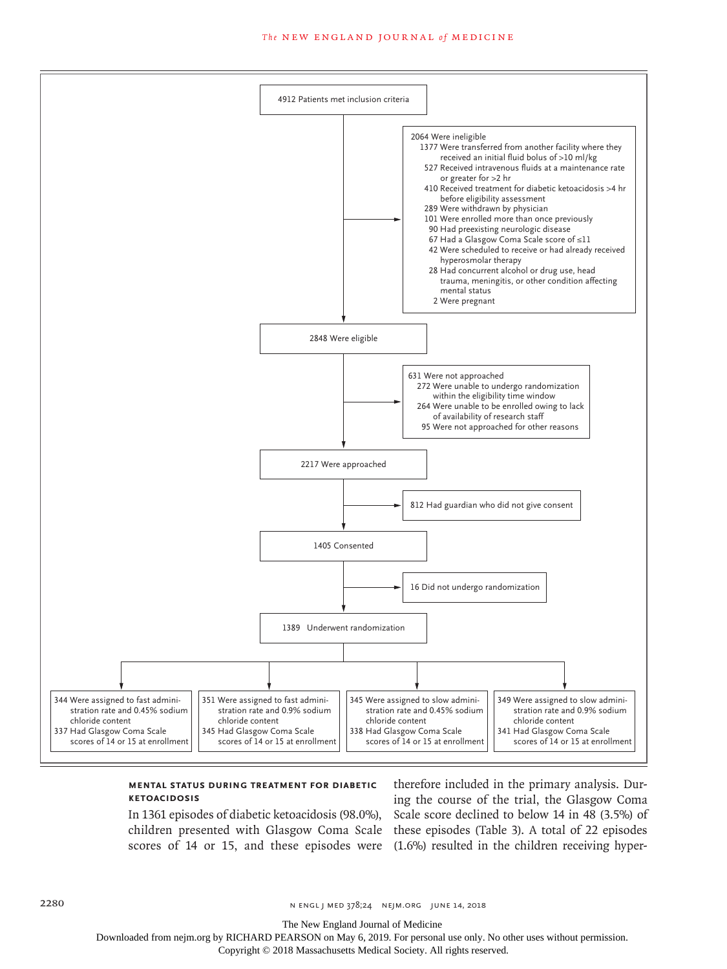#### **The NEW ENGLAND JOURNAL of MEDICINE**



# **Mental Status during Treatment for Diabetic Ketoacidosis**

In 1361 episodes of diabetic ketoacidosis (98.0%),

children presented with Glasgow Coma Scale these episodes (Table 3). A total of 22 episodes scores of 14 or 15, and these episodes were (1.6%) resulted in the children receiving hypertherefore included in the primary analysis. During the course of the trial, the Glasgow Coma Scale score declined to below 14 in 48 (3.5%) of

The New England Journal of Medicine

Downloaded from nejm.org by RICHARD PEARSON on May 6, 2019. For personal use only. No other uses without permission.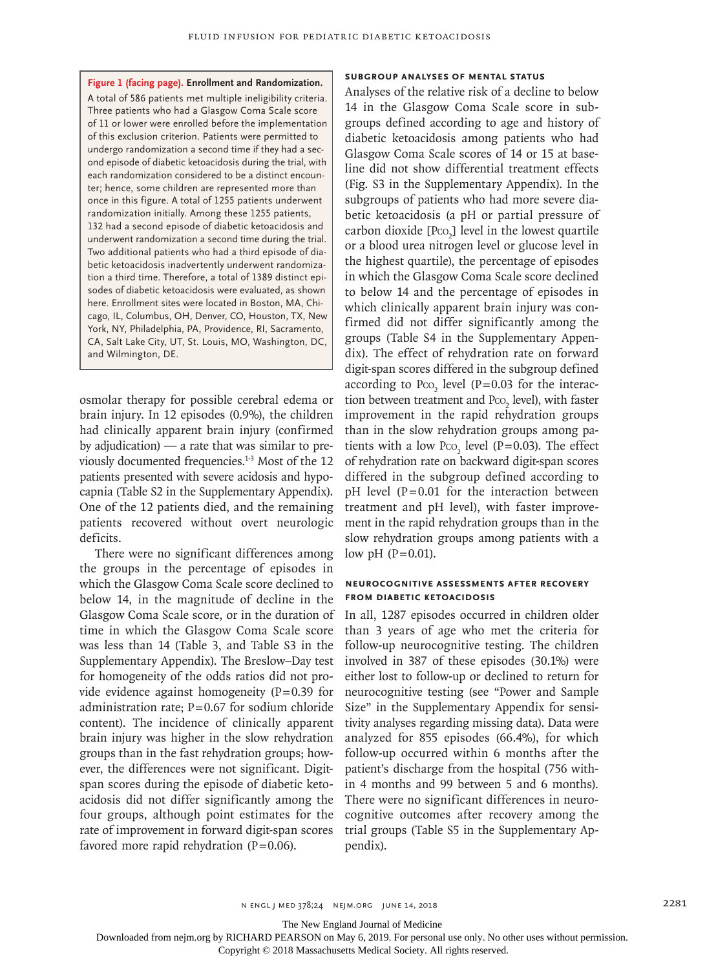**Figure 1 (facing page). Enrollment and Randomization.** A total of 586 patients met multiple ineligibility criteria. Three patients who had a Glasgow Coma Scale score of 11 or lower were enrolled before the implementation of this exclusion criterion. Patients were permitted to undergo randomization a second time if they had a second episode of diabetic ketoacidosis during the trial, with each randomization considered to be a distinct encounter; hence, some children are represented more than once in this figure. A total of 1255 patients underwent randomization initially. Among these 1255 patients, 132 had a second episode of diabetic ketoacidosis and underwent randomization a second time during the trial. Two additional patients who had a third episode of diabetic ketoacidosis inadvertently underwent randomization a third time. Therefore, a total of 1389 distinct episodes of diabetic ketoacidosis were evaluated, as shown here. Enrollment sites were located in Boston, MA, Chicago, IL, Columbus, OH, Denver, CO, Houston, TX, New York, NY, Philadelphia, PA, Providence, RI, Sacramento, CA, Salt Lake City, UT, St. Louis, MO, Washington, DC, and Wilmington, DE.

osmolar therapy for possible cerebral edema or brain injury. In 12 episodes (0.9%), the children had clinically apparent brain injury (confirmed by adjudication) — a rate that was similar to previously documented frequencies.1-3 Most of the 12 patients presented with severe acidosis and hypocapnia (Table S2 in the Supplementary Appendix). One of the 12 patients died, and the remaining patients recovered without overt neurologic deficits.

There were no significant differences among the groups in the percentage of episodes in which the Glasgow Coma Scale score declined to below 14, in the magnitude of decline in the Glasgow Coma Scale score, or in the duration of time in which the Glasgow Coma Scale score was less than 14 (Table 3, and Table S3 in the Supplementary Appendix). The Breslow–Day test for homogeneity of the odds ratios did not provide evidence against homogeneity  $(P=0.39)$  for administration rate;  $P=0.67$  for sodium chloride content). The incidence of clinically apparent brain injury was higher in the slow rehydration groups than in the fast rehydration groups; however, the differences were not significant. Digitspan scores during the episode of diabetic ketoacidosis did not differ significantly among the four groups, although point estimates for the rate of improvement in forward digit-span scores favored more rapid rehydration  $(P=0.06)$ .

# **Subgroup Analyses of Mental Status**

Analyses of the relative risk of a decline to below 14 in the Glasgow Coma Scale score in subgroups defined according to age and history of diabetic ketoacidosis among patients who had Glasgow Coma Scale scores of 14 or 15 at baseline did not show differential treatment effects (Fig. S3 in the Supplementary Appendix). In the subgroups of patients who had more severe diabetic ketoacidosis (a pH or partial pressure of carbon dioxide  $[Pco_2]$  level in the lowest quartile or a blood urea nitrogen level or glucose level in the highest quartile), the percentage of episodes in which the Glasgow Coma Scale score declined to below 14 and the percentage of episodes in which clinically apparent brain injury was confirmed did not differ significantly among the groups (Table S4 in the Supplementary Appendix). The effect of rehydration rate on forward digit-span scores differed in the subgroup defined according to  $P_{CO_2}$  level (P=0.03 for the interaction between treatment and  $PCO<sub>2</sub>$  level), with faster improvement in the rapid rehydration groups than in the slow rehydration groups among patients with a low  $P_{\text{CO}_2}$  level (P=0.03). The effect of rehydration rate on backward digit-span scores differed in the subgroup defined according to  $pH$  level ( $P=0.01$  for the interaction between treatment and pH level), with faster improvement in the rapid rehydration groups than in the slow rehydration groups among patients with a low pH  $(P=0.01)$ .

#### **Neurocognitive Assessments after Recovery from Diabetic Ketoacidosis**

In all, 1287 episodes occurred in children older than 3 years of age who met the criteria for follow-up neurocognitive testing. The children involved in 387 of these episodes (30.1%) were either lost to follow-up or declined to return for neurocognitive testing (see "Power and Sample Size" in the Supplementary Appendix for sensitivity analyses regarding missing data). Data were analyzed for 855 episodes (66.4%), for which follow-up occurred within 6 months after the patient's discharge from the hospital (756 within 4 months and 99 between 5 and 6 months). There were no significant differences in neurocognitive outcomes after recovery among the trial groups (Table S5 in the Supplementary Appendix).

n engl j med 378;24 nejm.org June 14, 2018 2281

The New England Journal of Medicine

Downloaded from nejm.org by RICHARD PEARSON on May 6, 2019. For personal use only. No other uses without permission.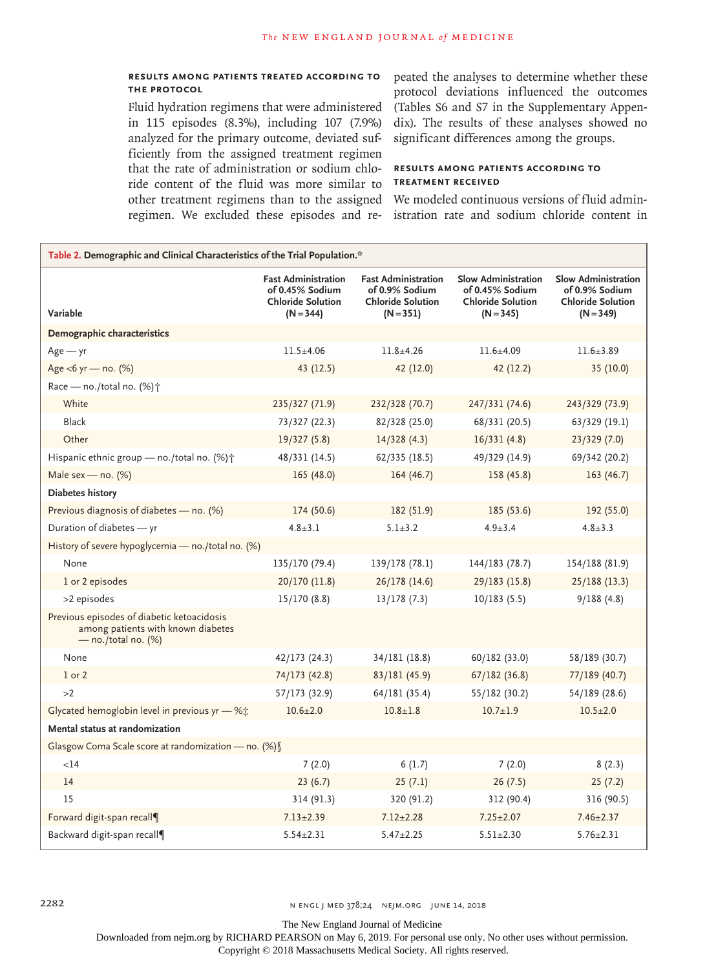# **Results among Patients Treated According to the Protocol**

Fluid hydration regimens that were administered in 115 episodes (8.3%), including 107 (7.9%) analyzed for the primary outcome, deviated sufficiently from the assigned treatment regimen that the rate of administration or sodium chloride content of the fluid was more similar to other treatment regimens than to the assigned regimen. We excluded these episodes and re-

peated the analyses to determine whether these protocol deviations influenced the outcomes (Tables S6 and S7 in the Supplementary Appendix). The results of these analyses showed no significant differences among the groups.

# **Results among Patients According to Treatment Received**

We modeled continuous versions of fluid administration rate and sodium chloride content in

| Table 2. Demographic and Clinical Characteristics of the Trial Population.*                               |                                                                                          |                                                                                         |                                                                                          |                                                                                  |  |  |
|-----------------------------------------------------------------------------------------------------------|------------------------------------------------------------------------------------------|-----------------------------------------------------------------------------------------|------------------------------------------------------------------------------------------|----------------------------------------------------------------------------------|--|--|
| Variable                                                                                                  | <b>Fast Administration</b><br>of 0.45% Sodium<br><b>Chloride Solution</b><br>$(N = 344)$ | <b>Fast Administration</b><br>of 0.9% Sodium<br><b>Chloride Solution</b><br>$(N = 351)$ | <b>Slow Administration</b><br>of 0.45% Sodium<br><b>Chloride Solution</b><br>$(N = 345)$ | Slow Administration<br>of 0.9% Sodium<br><b>Chloride Solution</b><br>$(N = 349)$ |  |  |
| Demographic characteristics                                                                               |                                                                                          |                                                                                         |                                                                                          |                                                                                  |  |  |
| $Age - yr$                                                                                                | $11.5 + 4.06$                                                                            | $11.8 + 4.26$                                                                           | $11.6 + 4.09$                                                                            | $11.6 \pm 3.89$                                                                  |  |  |
| Age <6 yr - no. (%)                                                                                       | 43 (12.5)                                                                                | 42 (12.0)                                                                               | 42 (12.2)                                                                                | 35 (10.0)                                                                        |  |  |
| Race - no./total no. (%) <sup>+</sup>                                                                     |                                                                                          |                                                                                         |                                                                                          |                                                                                  |  |  |
| White                                                                                                     | 235/327 (71.9)                                                                           | 232/328 (70.7)                                                                          | 247/331 (74.6)                                                                           | 243/329 (73.9)                                                                   |  |  |
| Black                                                                                                     | 73/327 (22.3)                                                                            | 82/328 (25.0)                                                                           | 68/331 (20.5)                                                                            | 63/329 (19.1)                                                                    |  |  |
| Other                                                                                                     | 19/327(5.8)                                                                              | 14/328(4.3)                                                                             | 16/331(4.8)                                                                              | 23/329(7.0)                                                                      |  |  |
| Hispanic ethnic group - no./total no. (%) <sup>+</sup>                                                    | 48/331 (14.5)                                                                            | 62/335 (18.5)                                                                           | 49/329 (14.9)                                                                            | 69/342 (20.2)                                                                    |  |  |
| Male sex - no. $(%)$                                                                                      | 165 (48.0)                                                                               | 164 (46.7)                                                                              | 158 (45.8)                                                                               | 163(46.7)                                                                        |  |  |
| Diabetes history                                                                                          |                                                                                          |                                                                                         |                                                                                          |                                                                                  |  |  |
| Previous diagnosis of diabetes - no. (%)                                                                  | 174 (50.6)                                                                               | 182 (51.9)                                                                              | 185 (53.6)                                                                               | 192 (55.0)                                                                       |  |  |
| Duration of diabetes - yr                                                                                 | $4.8 \pm 3.1$                                                                            | $5.1 \pm 3.2$                                                                           | $4.9 \pm 3.4$                                                                            | $4.8 \pm 3.3$                                                                    |  |  |
| History of severe hypoglycemia - no./total no. (%)                                                        |                                                                                          |                                                                                         |                                                                                          |                                                                                  |  |  |
| None                                                                                                      | 135/170 (79.4)                                                                           | 139/178 (78.1)                                                                          | 144/183 (78.7)                                                                           | 154/188 (81.9)                                                                   |  |  |
| 1 or 2 episodes                                                                                           | 20/170 (11.8)                                                                            | 26/178 (14.6)                                                                           | 29/183 (15.8)                                                                            | 25/188 (13.3)                                                                    |  |  |
| >2 episodes                                                                                               | 15/170(8.8)                                                                              | 13/178(7.3)                                                                             | 10/183(5.5)                                                                              | 9/188(4.8)                                                                       |  |  |
| Previous episodes of diabetic ketoacidosis<br>among patients with known diabetes<br>$-$ no./total no. (%) |                                                                                          |                                                                                         |                                                                                          |                                                                                  |  |  |
| None                                                                                                      | 42/173 (24.3)                                                                            | 34/181 (18.8)                                                                           | 60/182 (33.0)                                                                            | 58/189 (30.7)                                                                    |  |  |
| $1$ or $2$                                                                                                | 74/173 (42.8)                                                                            | 83/181 (45.9)                                                                           | 67/182(36.8)                                                                             | 77/189 (40.7)                                                                    |  |  |
| >2                                                                                                        | 57/173 (32.9)                                                                            | 64/181 (35.4)                                                                           | 55/182 (30.2)                                                                            | 54/189 (28.6)                                                                    |  |  |
| Glycated hemoglobin level in previous yr - %;                                                             | $10.6 \pm 2.0$                                                                           | $10.8 \pm 1.8$                                                                          | $10.7 \pm 1.9$                                                                           | $10.5 \pm 2.0$                                                                   |  |  |
| Mental status at randomization                                                                            |                                                                                          |                                                                                         |                                                                                          |                                                                                  |  |  |
| Glasgow Coma Scale score at randomization - no. (%)                                                       |                                                                                          |                                                                                         |                                                                                          |                                                                                  |  |  |
| $<$ 14                                                                                                    | 7(2.0)                                                                                   | 6(1.7)                                                                                  | 7(2.0)                                                                                   | 8(2.3)                                                                           |  |  |
| 14                                                                                                        | 23(6.7)                                                                                  | 25(7.1)                                                                                 | 26(7.5)                                                                                  | 25(7.2)                                                                          |  |  |
| 15                                                                                                        | 314 (91.3)                                                                               | 320 (91.2)                                                                              | 312 (90.4)                                                                               | 316 (90.5)                                                                       |  |  |
| Forward digit-span recall                                                                                 | $7.13 \pm 2.39$                                                                          | $7.12 + 2.28$                                                                           | $7.25 + 2.07$                                                                            | $7.46 + 2.37$                                                                    |  |  |
| Backward digit-span recall¶                                                                               | $5.54 \pm 2.31$                                                                          | $5.47 \pm 2.25$                                                                         | $5.51 \pm 2.30$                                                                          | $5.76 \pm 2.31$                                                                  |  |  |

2282 2282 N ENGL J MED 378;24 NEJM.ORG JUNE 14, 2018

The New England Journal of Medicine

Downloaded from nejm.org by RICHARD PEARSON on May 6, 2019. For personal use only. No other uses without permission.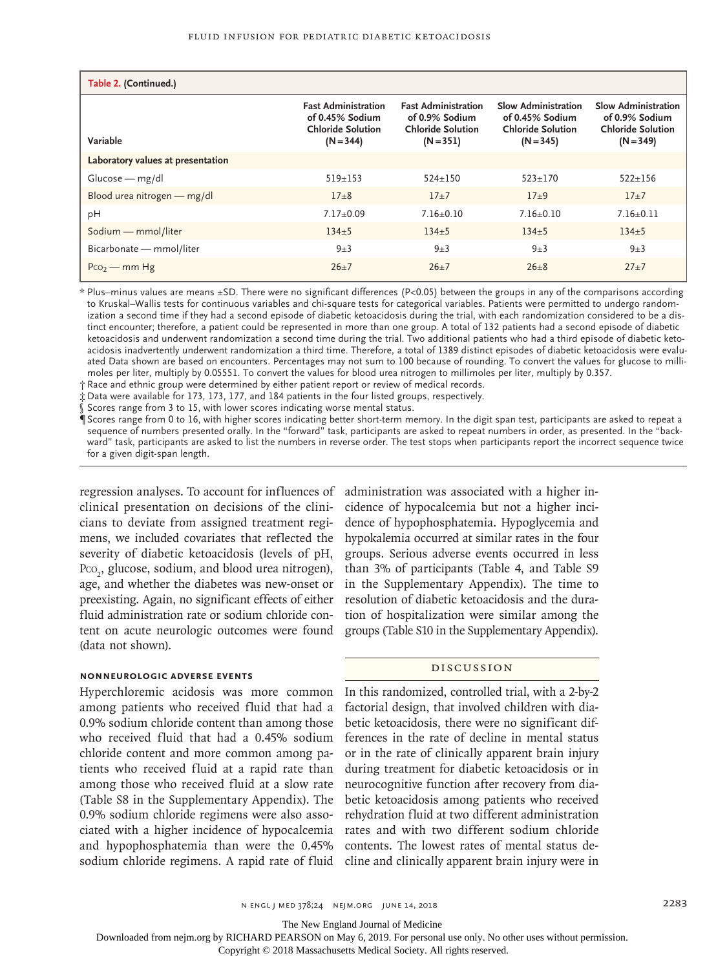| Table 2. (Continued.)             |                                                                                          |                                                                                         |                                                                                   |                                                                                  |  |  |  |  |
|-----------------------------------|------------------------------------------------------------------------------------------|-----------------------------------------------------------------------------------------|-----------------------------------------------------------------------------------|----------------------------------------------------------------------------------|--|--|--|--|
| Variable                          | <b>Fast Administration</b><br>of 0.45% Sodium<br><b>Chloride Solution</b><br>$(N = 344)$ | <b>Fast Administration</b><br>of 0.9% Sodium<br><b>Chloride Solution</b><br>$(N = 351)$ | Slow Administration<br>of 0.45% Sodium<br><b>Chloride Solution</b><br>$(N = 345)$ | Slow Administration<br>of 0.9% Sodium<br><b>Chloride Solution</b><br>$(N = 349)$ |  |  |  |  |
| Laboratory values at presentation |                                                                                          |                                                                                         |                                                                                   |                                                                                  |  |  |  |  |
| $Glucose - mg/dl$                 | $519 + 153$                                                                              | $524 + 150$                                                                             | $523 + 170$                                                                       | $522 + 156$                                                                      |  |  |  |  |
| Blood urea nitrogen - mg/dl       | $17 + 8$                                                                                 | $17+7$                                                                                  | $17 + 9$                                                                          | $17+7$                                                                           |  |  |  |  |
| pH                                | $7.17+0.09$                                                                              | $7.16+0.10$                                                                             | $7.16+0.10$                                                                       | $7.16+0.11$                                                                      |  |  |  |  |
| Sodium - mmol/liter               | $134+5$                                                                                  | $134 + 5$                                                                               | $134 + 5$                                                                         | $134+5$                                                                          |  |  |  |  |
| Bicarbonate - mmol/liter          | $9\pm3$                                                                                  | $9\pm3$                                                                                 | $9\pm3$                                                                           | $9\pm3$                                                                          |  |  |  |  |
| $P_{CO2}$ – mm Hg                 | $26+7$                                                                                   | $26+7$                                                                                  | $26 + 8$                                                                          | $27+7$                                                                           |  |  |  |  |

\* Plus–minus values are means ±SD. There were no significant differences (P<0.05) between the groups in any of the comparisons according to Kruskal–Wallis tests for continuous variables and chi-square tests for categorical variables. Patients were permitted to undergo randomization a second time if they had a second episode of diabetic ketoacidosis during the trial, with each randomization considered to be a distinct encounter; therefore, a patient could be represented in more than one group. A total of 132 patients had a second episode of diabetic ketoacidosis and underwent randomization a second time during the trial. Two additional patients who had a third episode of diabetic ketoacidosis inadvertently underwent randomization a third time. Therefore, a total of 1389 distinct episodes of diabetic ketoacidosis were evaluated Data shown are based on encounters. Percentages may not sum to 100 because of rounding. To convert the values for glucose to millimoles per liter, multiply by 0.05551. To convert the values for blood urea nitrogen to millimoles per liter, multiply by 0.357.

† Race and ethnic group were determined by either patient report or review of medical records.

‡ Data were available for 173, 173, 177, and 184 patients in the four listed groups, respectively.

Scores range from 3 to 15, with lower scores indicating worse mental status.

¶ Scores range from 0 to 16, with higher scores indicating better short-term memory. In the digit span test, participants are asked to repeat a sequence of numbers presented orally. In the "forward" task, participants are asked to repeat numbers in order, as presented. In the "backward" task, participants are asked to list the numbers in reverse order. The test stops when participants report the incorrect sequence twice for a given digit-span length.

regression analyses. To account for influences of administration was associated with a higher inclinical presentation on decisions of the clinicians to deviate from assigned treatment regimens, we included covariates that reflected the severity of diabetic ketoacidosis (levels of pH, Pco<sub>2</sub>, glucose, sodium, and blood urea nitrogen), age, and whether the diabetes was new-onset or preexisting. Again, no significant effects of either fluid administration rate or sodium chloride content on acute neurologic outcomes were found (data not shown).

## **Nonneurologic Adverse Events**

Hyperchloremic acidosis was more common among patients who received fluid that had a 0.9% sodium chloride content than among those who received fluid that had a 0.45% sodium chloride content and more common among patients who received fluid at a rapid rate than among those who received fluid at a slow rate (Table S8 in the Supplementary Appendix). The 0.9% sodium chloride regimens were also associated with a higher incidence of hypocalcemia and hypophosphatemia than were the 0.45% sodium chloride regimens. A rapid rate of fluid cidence of hypocalcemia but not a higher incidence of hypophosphatemia. Hypoglycemia and hypokalemia occurred at similar rates in the four groups. Serious adverse events occurred in less than 3% of participants (Table 4, and Table S9 in the Supplementary Appendix). The time to resolution of diabetic ketoacidosis and the duration of hospitalization were similar among the groups (Table S10 in the Supplementary Appendix).

# Discussion

In this randomized, controlled trial, with a 2-by-2 factorial design, that involved children with diabetic ketoacidosis, there were no significant differences in the rate of decline in mental status or in the rate of clinically apparent brain injury during treatment for diabetic ketoacidosis or in neurocognitive function after recovery from diabetic ketoacidosis among patients who received rehydration fluid at two different administration rates and with two different sodium chloride contents. The lowest rates of mental status decline and clinically apparent brain injury were in

The New England Journal of Medicine

Downloaded from nejm.org by RICHARD PEARSON on May 6, 2019. For personal use only. No other uses without permission.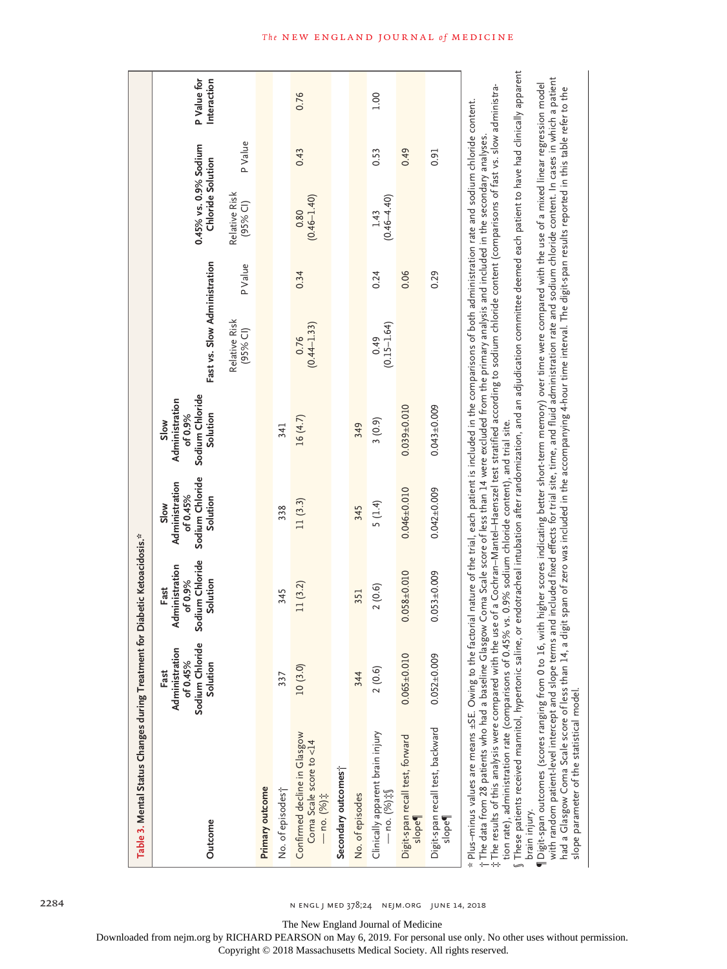| Table 3. Mental Status Changes during Treatment for Diabetic Ketoacidosis.*                                                                                                                                                                                                                                                                                                                                                                                                                                                                                                                                                                                                                                                                                                                                                                                                                   |                                                                   |                                                                  |                                                                   |                                                                  |                              |         |                                            |        |                            |
|-----------------------------------------------------------------------------------------------------------------------------------------------------------------------------------------------------------------------------------------------------------------------------------------------------------------------------------------------------------------------------------------------------------------------------------------------------------------------------------------------------------------------------------------------------------------------------------------------------------------------------------------------------------------------------------------------------------------------------------------------------------------------------------------------------------------------------------------------------------------------------------------------|-------------------------------------------------------------------|------------------------------------------------------------------|-------------------------------------------------------------------|------------------------------------------------------------------|------------------------------|---------|--------------------------------------------|--------|----------------------------|
| Outcome                                                                                                                                                                                                                                                                                                                                                                                                                                                                                                                                                                                                                                                                                                                                                                                                                                                                                       | Administration<br>Sodium Chloride<br>of 0.45%<br>Solution<br>Fast | Sodium Chloride<br>Administration<br>of 0.9%<br>Solution<br>Fast | Sodium Chloride<br>Administration<br>of 0.45%<br>Solution<br>Slow | Sodium Chloride<br>Administration<br>Solution<br>of 0.9%<br>Slow | Fast vs. Slow Administration |         | 0.45% vs. 0.9% Sodium<br>Chloride Solution |        | P Value for<br>Interaction |
|                                                                                                                                                                                                                                                                                                                                                                                                                                                                                                                                                                                                                                                                                                                                                                                                                                                                                               |                                                                   |                                                                  |                                                                   |                                                                  | Relative Risk<br>(95% Cl)    | P Value | Relative Risk<br>$(95%$ CI)                | PValue |                            |
| Primary outcome                                                                                                                                                                                                                                                                                                                                                                                                                                                                                                                                                                                                                                                                                                                                                                                                                                                                               |                                                                   |                                                                  |                                                                   |                                                                  |                              |         |                                            |        |                            |
| No. of episodes;                                                                                                                                                                                                                                                                                                                                                                                                                                                                                                                                                                                                                                                                                                                                                                                                                                                                              | 337                                                               | 345                                                              | 338                                                               | 341                                                              |                              |         |                                            |        |                            |
| Confirmed decline in Glasgow<br>Coma Scale score to $<$ 14<br>— no. (%) $\ddagger$                                                                                                                                                                                                                                                                                                                                                                                                                                                                                                                                                                                                                                                                                                                                                                                                            | 10(3.0)                                                           | 11(3.2)                                                          | 11(3.3)                                                           | 16 (4.7)                                                         | $0.76$<br>(0.44-1.33)        | 0.34    | $(0.46 - 1.40)$<br>0.80                    | 0.43   | 0.76                       |
| Secondary outcomes <sup>+</sup>                                                                                                                                                                                                                                                                                                                                                                                                                                                                                                                                                                                                                                                                                                                                                                                                                                                               |                                                                   |                                                                  |                                                                   |                                                                  |                              |         |                                            |        |                            |
| No. of episodes                                                                                                                                                                                                                                                                                                                                                                                                                                                                                                                                                                                                                                                                                                                                                                                                                                                                               | 344                                                               | 351                                                              | 345                                                               | 349                                                              |                              |         |                                            |        |                            |
| Clinically apparent brain injury<br>$-$ no. (%) $\ddagger$ $\delta$                                                                                                                                                                                                                                                                                                                                                                                                                                                                                                                                                                                                                                                                                                                                                                                                                           | 2(0.6)                                                            | 2(0.6)                                                           | 5(1.4)                                                            | 3(0.9)                                                           | $(0.15 - 1.64)$<br>0.49      | 0.24    | $(0.46 - 4.40)$<br>1.43                    | 0.53   | 1.00                       |
| Digit-span recall test, forward<br>slope                                                                                                                                                                                                                                                                                                                                                                                                                                                                                                                                                                                                                                                                                                                                                                                                                                                      | $0.065 \pm 0.010$                                                 | $0.058 + 0.010$                                                  | $0.046 \pm 0.010$                                                 | $0.039 + 0.010$                                                  |                              | 0.06    |                                            | 0.49   |                            |
| Digit-span recall test, backward<br>slope <sup>4</sup>                                                                                                                                                                                                                                                                                                                                                                                                                                                                                                                                                                                                                                                                                                                                                                                                                                        | $0.052 + 0.009$                                                   | $0.053 \pm 0.009$                                                | $0.042 \pm 0.009$                                                 | $0.043 + 0.009$                                                  |                              | 0.29    |                                            | 0.91   |                            |
| $\int$ These patients received mannitol, hypertonic saline, or endotracheal intubation after randomization, and an adjudication committee deemed each patient to have had clinically apparent<br>$\ddagger$ The results of this analysis were compared with the use of a Cochran–Mantel–Haenszel test stratified according to sodium chloride content (comparisons of fast vs. slow administra-<br>* Plus-minus values are means ±SE. Owing to the factorial nature of the trial, each patient is included in the comparisons of both administration rate and sodium chloride content.<br>†The data from 28 patients who had a baseline Glasgow Coma Scale score of less than 14 were excluded from the primary analysis and included in the secondary analyses.<br>tion rate), administration rate (comparisons of 0.45% vs. 0.9% sodium chloride content), and trial site.<br>brain injury. |                                                                   |                                                                  |                                                                   |                                                                  |                              |         |                                            |        |                            |
| with random patient-level intercept and slope terms and included fixed effects for trial site, time, and fluid administration rate and sodium chloride content. In cases in which a patient<br>¶Digit-span outcomes (scores ranging from 0 to 16, with higher scores indicating better short-term memory) over time were compared with the use of a mixed linear regression model<br>a digit sena Sala sena di a digit sena di a digit sena di alah dialah dia tanan dan dari menang kanang dia digit sena di akan daran daran daran daran daran daran daran daran daran daran                                                                                                                                                                                                                                                                                                                |                                                                   |                                                                  |                                                                   |                                                                  |                              |         |                                            |        |                            |

had a Glasgow Coma Scale score of less than 14, a digit span of zero was included in the accompanying 4-hour time interval. The digit-span results reported in this table refer to the ć ᇷ  $\frac{a}{1}$  $\frac{4}{5}$ nad a Glasgow Coma Scale score of less<br>slope parameter of the statistical model. slope parameter of the statistical model.

# **The NEW ENGLAND JOURNAL of MEDICINE**

2284 n engl j med 378;24 nejm.org June 14, 2018

The New England Journal of Medicine

Downloaded from nejm.org by RICHARD PEARSON on May 6, 2019. For personal use only. No other uses without permission.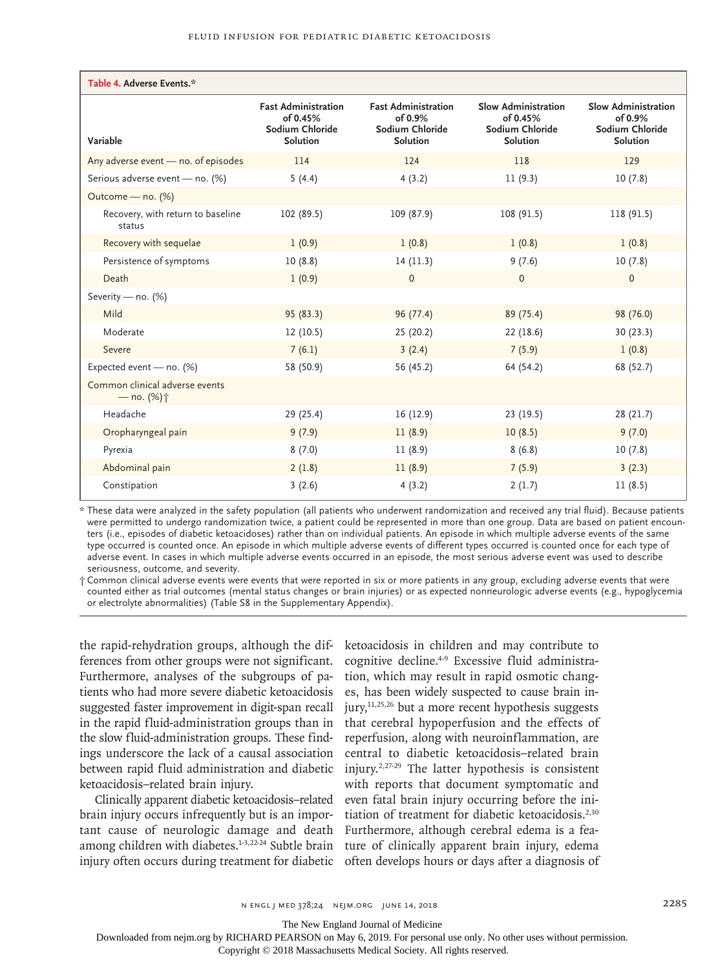| Table 4. Adverse Events.*                              |                                                                              |                                                                             |                                                                       |                                                                         |
|--------------------------------------------------------|------------------------------------------------------------------------------|-----------------------------------------------------------------------------|-----------------------------------------------------------------------|-------------------------------------------------------------------------|
| Variable                                               | <b>Fast Administration</b><br>of 0.45%<br>Sodium Chloride<br><b>Solution</b> | <b>Fast Administration</b><br>of 0.9%<br>Sodium Chloride<br><b>Solution</b> | Slow Administration<br>of 0.45%<br>Sodium Chloride<br><b>Solution</b> | Slow Administration<br>of $0.9\%$<br>Sodium Chloride<br><b>Solution</b> |
| Any adverse event - no. of episodes                    | 114                                                                          | 124                                                                         | 118                                                                   | 129                                                                     |
| Serious adverse event - no. (%)                        | 5(4.4)                                                                       | 4(3.2)                                                                      | 11(9.3)                                                               | 10(7.8)                                                                 |
| Outcome - no. (%)                                      |                                                                              |                                                                             |                                                                       |                                                                         |
| Recovery, with return to baseline<br>status            | 102 (89.5)                                                                   | 109 (87.9)                                                                  | 108 (91.5)                                                            | 118 (91.5)                                                              |
| Recovery with sequelae                                 | 1(0.9)                                                                       | 1(0.8)                                                                      | 1(0.8)                                                                | 1(0.8)                                                                  |
| Persistence of symptoms                                | 10(8.8)                                                                      | 14(11.3)                                                                    | 9(7.6)                                                                | 10(7.8)                                                                 |
| Death                                                  | 1(0.9)                                                                       | $\mathbf{0}$                                                                | $\mathbf{0}$                                                          | $\mathbf{0}$                                                            |
| Severity - no. (%)                                     |                                                                              |                                                                             |                                                                       |                                                                         |
| Mild                                                   | 95 (83.3)                                                                    | 96 (77.4)                                                                   | 89 (75.4)                                                             | 98 (76.0)                                                               |
| Moderate                                               | 12(10.5)                                                                     | 25 (20.2)                                                                   | 22 (18.6)                                                             | 30 (23.3)                                                               |
| Severe                                                 | 7(6.1)                                                                       | 3(2.4)                                                                      | 7(5.9)                                                                | 1(0.8)                                                                  |
| Expected event - no. (%)                               | 58 (50.9)                                                                    | 56 (45.2)                                                                   | 64 (54.2)                                                             | 68 (52.7)                                                               |
| Common clinical adverse events<br>$-$ no. $(%)\dot{+}$ |                                                                              |                                                                             |                                                                       |                                                                         |
| Headache                                               | 29 (25.4)                                                                    | 16(12.9)                                                                    | 23 (19.5)                                                             | 28 (21.7)                                                               |
| Oropharyngeal pain                                     | 9(7.9)                                                                       | 11(8.9)                                                                     | 10(8.5)                                                               | 9(7.0)                                                                  |
| Pyrexia                                                | 8(7.0)                                                                       | 11(8.9)                                                                     | 8(6.8)                                                                | 10(7.8)                                                                 |
| Abdominal pain                                         | 2(1.8)                                                                       | 11(8.9)                                                                     | 7(5.9)                                                                | 3(2.3)                                                                  |
| Constipation                                           | 3(2.6)                                                                       | 4(3.2)                                                                      | 2(1.7)                                                                | 11(8.5)                                                                 |

\* These data were analyzed in the safety population (all patients who underwent randomization and received any trial fluid). Because patients were permitted to undergo randomization twice, a patient could be represented in more than one group. Data are based on patient encounters (i.e., episodes of diabetic ketoacidoses) rather than on individual patients. An episode in which multiple adverse events of the same type occurred is counted once. An episode in which multiple adverse events of different types occurred is counted once for each type of adverse event. In cases in which multiple adverse events occurred in an episode, the most serious adverse event was used to describe seriousness, outcome, and severity.

† Common clinical adverse events were events that were reported in six or more patients in any group, excluding adverse events that were counted either as trial outcomes (mental status changes or brain injuries) or as expected nonneurologic adverse events (e.g., hypoglycemia or electrolyte abnormalities) (Table S8 in the Supplementary Appendix).

the rapid-rehydration groups, although the differences from other groups were not significant. Furthermore, analyses of the subgroups of patients who had more severe diabetic ketoacidosis suggested faster improvement in digit-span recall in the rapid fluid-administration groups than in the slow fluid-administration groups. These findings underscore the lack of a causal association between rapid fluid administration and diabetic ketoacidosis–related brain injury.

Clinically apparent diabetic ketoacidosis–related brain injury occurs infrequently but is an important cause of neurologic damage and death among children with diabetes.<sup>1-3,22-24</sup> Subtle brain injury often occurs during treatment for diabetic

ketoacidosis in children and may contribute to cognitive decline.4-9 Excessive fluid administration, which may result in rapid osmotic changes, has been widely suspected to cause brain in $jury, <sup>11,25,26</sup>$  but a more recent hypothesis suggests that cerebral hypoperfusion and the effects of reperfusion, along with neuroinflammation, are central to diabetic ketoacidosis–related brain injury.2,27-29 The latter hypothesis is consistent with reports that document symptomatic and even fatal brain injury occurring before the initiation of treatment for diabetic ketoacidosis.<sup>2,30</sup> Furthermore, although cerebral edema is a feature of clinically apparent brain injury, edema often develops hours or days after a diagnosis of

The New England Journal of Medicine

Downloaded from nejm.org by RICHARD PEARSON on May 6, 2019. For personal use only. No other uses without permission.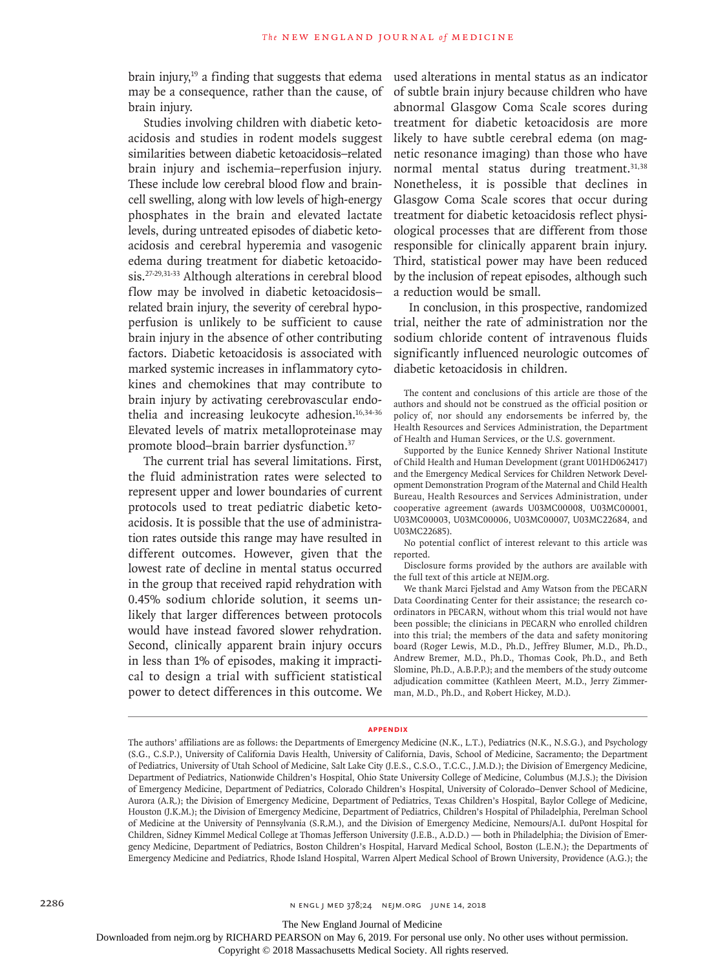brain injury, $19$  a finding that suggests that edema may be a consequence, rather than the cause, of brain injury.

Studies involving children with diabetic ketoacidosis and studies in rodent models suggest similarities between diabetic ketoacidosis–related brain injury and ischemia–reperfusion injury. These include low cerebral blood flow and braincell swelling, along with low levels of high-energy phosphates in the brain and elevated lactate levels, during untreated episodes of diabetic ketoacidosis and cerebral hyperemia and vasogenic edema during treatment for diabetic ketoacidosis.27-29,31-33 Although alterations in cerebral blood flow may be involved in diabetic ketoacidosis– related brain injury, the severity of cerebral hypoperfusion is unlikely to be sufficient to cause brain injury in the absence of other contributing factors. Diabetic ketoacidosis is associated with marked systemic increases in inflammatory cytokines and chemokines that may contribute to brain injury by activating cerebrovascular endothelia and increasing leukocyte adhesion.<sup>16,34-36</sup> Elevated levels of matrix metalloproteinase may promote blood–brain barrier dysfunction.37

The current trial has several limitations. First, the fluid administration rates were selected to represent upper and lower boundaries of current protocols used to treat pediatric diabetic ketoacidosis. It is possible that the use of administration rates outside this range may have resulted in different outcomes. However, given that the lowest rate of decline in mental status occurred in the group that received rapid rehydration with 0.45% sodium chloride solution, it seems unlikely that larger differences between protocols would have instead favored slower rehydration. Second, clinically apparent brain injury occurs in less than 1% of episodes, making it impractical to design a trial with sufficient statistical power to detect differences in this outcome. We used alterations in mental status as an indicator of subtle brain injury because children who have abnormal Glasgow Coma Scale scores during treatment for diabetic ketoacidosis are more likely to have subtle cerebral edema (on magnetic resonance imaging) than those who have normal mental status during treatment.<sup>31,38</sup> Nonetheless, it is possible that declines in Glasgow Coma Scale scores that occur during treatment for diabetic ketoacidosis reflect physiological processes that are different from those responsible for clinically apparent brain injury. Third, statistical power may have been reduced by the inclusion of repeat episodes, although such a reduction would be small.

In conclusion, in this prospective, randomized trial, neither the rate of administration nor the sodium chloride content of intravenous fluids significantly influenced neurologic outcomes of diabetic ketoacidosis in children.

The content and conclusions of this article are those of the authors and should not be construed as the official position or policy of, nor should any endorsements be inferred by, the Health Resources and Services Administration, the Department of Health and Human Services, or the U.S. government.

Supported by the Eunice Kennedy Shriver National Institute of Child Health and Human Development (grant U01HD062417) and the Emergency Medical Services for Children Network Development Demonstration Program of the Maternal and Child Health Bureau, Health Resources and Services Administration, under cooperative agreement (awards U03MC00008, U03MC00001, U03MC00003, U03MC00006, U03MC00007, U03MC22684, and U03MC22685).

No potential conflict of interest relevant to this article was reported.

Disclosure forms provided by the authors are available with the full text of this article at NEJM.org.

We thank Marci Fjelstad and Amy Watson from the PECARN Data Coordinating Center for their assistance; the research coordinators in PECARN, without whom this trial would not have been possible; the clinicians in PECARN who enrolled children into this trial; the members of the data and safety monitoring board (Roger Lewis, M.D., Ph.D., Jeffrey Blumer, M.D., Ph.D., Andrew Bremer, M.D., Ph.D., Thomas Cook, Ph.D., and Beth Slomine, Ph.D., A.B.P.P.); and the members of the study outcome adjudication committee (Kathleen Meert, M.D., Jerry Zimmerman, M.D., Ph.D., and Robert Hickey, M.D.).

#### **Appendix**

The New England Journal of Medicine

Downloaded from nejm.org by RICHARD PEARSON on May 6, 2019. For personal use only. No other uses without permission.

The authors' affiliations are as follows: the Departments of Emergency Medicine (N.K., L.T.), Pediatrics (N.K., N.S.G.), and Psychology (S.G., C.S.P.), University of California Davis Health, University of California, Davis, School of Medicine, Sacramento; the Department of Pediatrics, University of Utah School of Medicine, Salt Lake City (J.E.S., C.S.O., T.C.C., J.M.D.); the Division of Emergency Medicine, Department of Pediatrics, Nationwide Children's Hospital, Ohio State University College of Medicine, Columbus (M.J.S.); the Division of Emergency Medicine, Department of Pediatrics, Colorado Children's Hospital, University of Colorado–Denver School of Medicine, Aurora (A.R.); the Division of Emergency Medicine, Department of Pediatrics, Texas Children's Hospital, Baylor College of Medicine, Houston (J.K.M.); the Division of Emergency Medicine, Department of Pediatrics, Children's Hospital of Philadelphia, Perelman School of Medicine at the University of Pennsylvania (S.R.M.), and the Division of Emergency Medicine, Nemours/A.I. duPont Hospital for Children, Sidney Kimmel Medical College at Thomas Jefferson University (J.E.B., A.D.D.) — both in Philadelphia; the Division of Emergency Medicine, Department of Pediatrics, Boston Children's Hospital, Harvard Medical School, Boston (L.E.N.); the Departments of Emergency Medicine and Pediatrics, Rhode Island Hospital, Warren Alpert Medical School of Brown University, Providence (A.G.); the